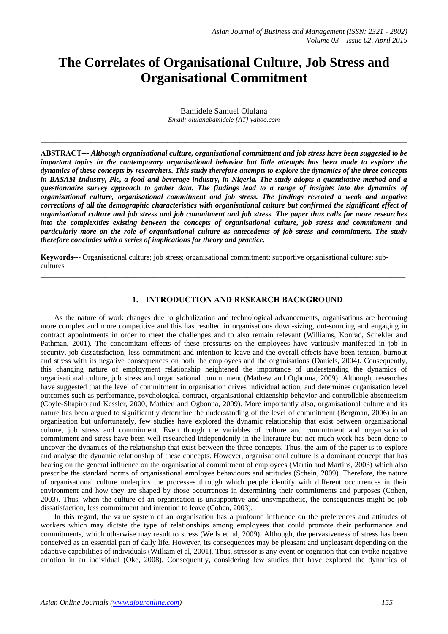# **The Correlates of Organisational Culture, Job Stress and Organisational Commitment**

Bamidele Samuel Olulana *Email: olulanabamidele [AT] yahoo.com*

**\_\_\_\_\_\_\_\_\_\_\_\_\_\_\_\_\_\_\_\_\_\_\_\_\_\_\_\_\_\_\_\_\_\_\_\_\_\_\_\_\_\_\_\_\_\_\_\_\_\_\_\_\_\_\_\_\_\_\_\_\_\_\_\_\_\_\_\_\_\_\_\_\_\_\_\_\_\_\_\_\_**

**ABSTRACT---** *Although organisational culture, organisational commitment and job stress have been suggested to be important topics in the contemporary organisational behavior but little attempts has been made to explore the dynamics of these concepts by researchers. This study therefore attempts to explore the dynamics of the three concepts in BASAM Industry, Plc, a food and beverage industry, in Nigeria. The study adopts a quantitative method and a questionnaire survey approach to gather data. The findings lead to a range of insights into the dynamics of organisational culture, organisational commitment and job stress. The findings revealed a weak and negative corrections of all the demographic characteristics with organisational culture but confirmed the significant effect of organisational culture and job stress and job commitment and job stress. The paper thus calls for more researches into the complexities existing between the concepts of organisational culture, job stress and commitment and particularly more on the role of organisational culture as antecedents of job stress and commitment. The study therefore concludes with a series of implications for theory and practice.*

**Keywords---** Organisational culture; job stress; organisational commitment; supportive organisational culture; subcultures

 $\_$  ,  $\_$  ,  $\_$  ,  $\_$  ,  $\_$  ,  $\_$  ,  $\_$  ,  $\_$  ,  $\_$  ,  $\_$  ,  $\_$  ,  $\_$  ,  $\_$  ,  $\_$  ,  $\_$  ,  $\_$  ,  $\_$  ,  $\_$  ,  $\_$  ,  $\_$  ,  $\_$  ,  $\_$  ,  $\_$  ,  $\_$  ,  $\_$  ,  $\_$  ,  $\_$  ,  $\_$  ,  $\_$  ,  $\_$  ,  $\_$  ,  $\_$  ,  $\_$  ,  $\_$  ,  $\_$  ,  $\_$  ,  $\_$  ,

# **1. INTRODUCTION AND RESEARCH BACKGROUND**

As the nature of work changes due to globalization and technological advancements, organisations are becoming more complex and more competitive and this has resulted in organisations down-sizing, out-sourcing and engaging in contract appointments in order to meet the challenges and to also remain relevant (Williams, Konrad, Schekler and Pathman, 2001). The concomitant effects of these pressures on the employees have variously manifested in job in security, job dissatisfaction, less commitment and intention to leave and the overall effects have been tension, burnout and stress with its negative consequences on both the employees and the organisations (Daniels, 2004). Consequently, this changing nature of employment relationship heightened the importance of understanding the dynamics of organisational culture, job stress and organisational commitment (Mathew and Ogbonna, 2009). Although, researches have suggested that the level of commitment in organisation drives individual action, and determines organisation level outcomes such as performance, psychological contract, organisational citizenship behavior and controllable absenteeism (Coyle-Shapiro and Kessler, 2000, Mathieu and Ogbonna, 2009). More importantly also, organisational culture and its nature has been argued to significantly determine the understanding of the level of commitment (Bergman, 2006) in an organisation but unfortunately, few studies have explored the dynamic relationship that exist between organisational culture, job stress and commitment. Even though the variables of culture and commitment and organisational commitment and stress have been well researched independently in the literature but not much work has been done to uncover the dynamics of the relationship that exist between the three concepts. Thus, the aim of the paper is to explore and analyse the dynamic relationship of these concepts. However, organisational culture is a dominant concept that has bearing on the general influence on the organisational commitment of employees (Martin and Martins, 2003) which also prescribe the standard norms of organisational employee behaviours and attitudes (Schein, 2009). Therefore, the nature of organisational culture underpins the processes through which people identify with different occurrences in their environment and how they are shaped by those occurrences in determining their commitments and purposes (Cohen, 2003). Thus, when the culture of an organisation is unsupportive and unsympathetic, the consequences might be job dissatisfaction, less commitment and intention to leave (Cohen, 2003).

In this regard, the value system of an organisation has a profound influence on the preferences and attitudes of workers which may dictate the type of relationships among employees that could promote their performance and commitments, which otherwise may result to stress (Wells et. al, 2009). Although, the pervasiveness of stress has been conceived as an essential part of daily life. However, its consequences may be pleasant and unpleasant depending on the adaptive capabilities of individuals (William et al, 2001). Thus, stressor is any event or cognition that can evoke negative emotion in an individual (Oke, 2008). Consequently, considering few studies that have explored the dynamics of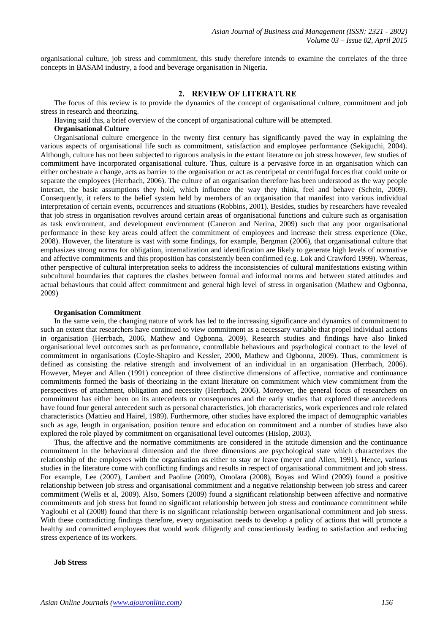organisational culture, job stress and commitment, this study therefore intends to examine the correlates of the three concepts in BASAM industry, a food and beverage organisation in Nigeria.

## **2. REVIEW OF LITERATURE**

The focus of this review is to provide the dynamics of the concept of organisational culture, commitment and job stress in research and theorizing.

Having said this, a brief overview of the concept of organisational culture will be attempted.

#### **Organisational Culture**

Organisational culture emergence in the twenty first century has significantly paved the way in explaining the various aspects of organisational life such as commitment, satisfaction and employee performance (Sekiguchi, 2004). Although, culture has not been subjected to rigorous analysis in the extant literature on job stress however, few studies of commitment have incorporated organisational culture. Thus, culture is a pervasive force in an organisation which can either orchestrate a change, acts as barrier to the organisation or act as centripetal or centrifugal forces that could unite or separate the employees (Herrbach, 2006). The culture of an organisation therefore has been understood as the way people interact, the basic assumptions they hold, which influence the way they think, feel and behave (Schein, 2009). Consequently, it refers to the belief system held by members of an organisation that manifest into various individual interpretation of certain events, occurrences and situations (Robbins, 2001). Besides, studies by researchers have revealed that job stress in organisation revolves around certain areas of organisational functions and culture such as organisation as task environment, and development environment (Caneron and Nerina, 2009) such that any poor organisational performance in these key areas could affect the commitment of employees and increase their stress experience (Oke, 2008). However, the literature is vast with some findings, for example, Bergman (2006), that organisational culture that emphasizes strong norms for obligation, internalization and identification are likely to generate high levels of normative and affective commitments and this proposition has consistently been confirmed (e.g. Lok and Crawford 1999). Whereas, other perspective of cultural interpretation seeks to address the inconsistencies of cultural manifestations existing within subcultural boundaries that captures the clashes between formal and informal norms and between stated attitudes and actual behaviours that could affect commitment and general high level of stress in organisation (Mathew and Ogbonna, 2009)

#### **Organisation Commitment**

In the same vein, the changing nature of work has led to the increasing significance and dynamics of commitment to such an extent that researchers have continued to view commitment as a necessary variable that propel individual actions in organisation (Herrbach, 2006, Mathew and Ogbonna, 2009). Research studies and findings have also linked organisational level outcomes such as performance, controllable behaviours and psychological contract to the level of commitment in organisations (Coyle-Shapiro and Kessler, 2000, Mathew and Ogbonna, 2009). Thus, commitment is defined as consisting the relative strength and involvement of an individual in an organisation (Herrbach, 2006). However, Meyer and Allen (1991) conception of three distinctive dimensions of affective, normative and continuance commitments formed the basis of theorizing in the extant literature on commitment which view commitment from the perspectives of attachment, obligation and necessity (Herrbach, 2006). Moreover, the general focus of researchers on commitment has either been on its antecedents or consequences and the early studies that explored these antecedents have found four general antecedent such as personal characteristics, job characteristics, work experiences and role related characteristics (Mattieu and Hairel, 1989). Furthermore, other studies have explored the impact of demographic variables such as age, length in organisation, position tenure and education on commitment and a number of studies have also explored the role played by commitment on organisational level outcomes (Hislop, 2003).

Thus, the affective and the normative commitments are considered in the attitude dimension and the continuance commitment in the behavioural dimension and the three dimensions are psychological state which characterizes the relationship of the employees with the organisation as either to stay or leave (meyer and Allen, 1991). Hence, various studies in the literature come with conflicting findings and results in respect of organisational commitment and job stress. For example, Lee (2007), Lambert and Paoline (2009), Omolara (2008), Boyas and Wind (2009) found a positive relationship between job stress and organisational commitment and a negative relationship between job stress and career commitment (Wells et al, 2009). Also, Somers (2009) found a significant relationship between affective and normative commitments and job stress but found no significant relationship between job stress and continuance commitment while Yagloubi et al (2008) found that there is no significant relationship between organisational commitment and job stress. With these contradicting findings therefore, every organisation needs to develop a policy of actions that will promote a healthy and committed employees that would work diligently and conscientiously leading to satisfaction and reducing stress experience of its workers.

#### **Job Stress**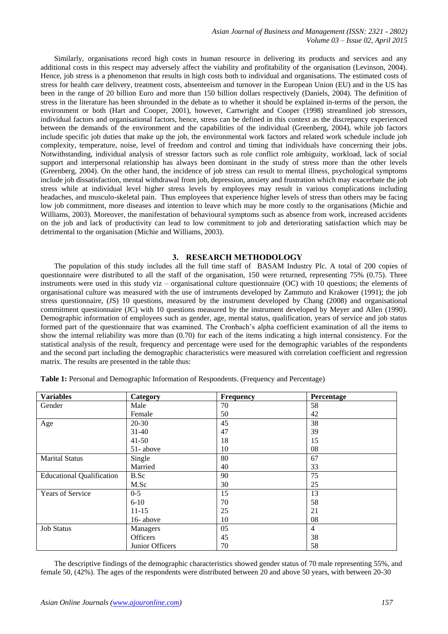*Asian Journal of Business and Management (ISSN: 2321 - 2802) Volume 03 – Issue 02, April 2015*

Similarly, organisations record high costs in human resource in delivering its products and services and any additional costs in this respect may adversely affect the viability and profitability of the organisation (Levinson, 2004). Hence, job stress is a phenomenon that results in high costs both to individual and organisations. The estimated costs of stress for health care delivery, treatment costs, absenteeism and turnover in the European Union (EU) and in the US has been in the range of 20 billion Euro and more than 150 billion dollars respectively (Daniels, 2004). The definition of stress in the literature has been shrounded in the debate as to whether it should be explained in-terms of the person, the environment or both (Hart and Cooper, 2001), however, Cartwright and Cooper (1998) streamlined job stressors, individual factors and organisational factors, hence, stress can be defined in this context as the discrepancy experienced between the demands of the environment and the capabilities of the individual (Greenberg, 2004), while job factors include specific job duties that make up the job, the environmental work factors and related work schedule include job complexity, temperature, noise, level of freedom and control and timing that individuals have concerning their jobs. Notwithstanding, individual analysis of stressor factors such as role conflict role ambiguity, workload, lack of social support and interpersonal relationship has always been dominant in the study of stress more than the other levels (Greenberg, 2004). On the other hand, the incidence of job stress can result to mental illness, psychological symptoms include job dissatisfaction, mental withdrawal from job, depression, anxiety and frustration which may exacerbate the job stress while at individual level higher stress levels by employees may result in various complications including headaches, and musculo-skeletal pain. Thus employees that experience higher levels of stress than others may be facing low job commitment, more diseases and intention to leave which may be more costly to the organisations (Michie and Williams, 2003). Moreover, the manifestation of behavioural symptoms such as absence from work, increased accidents on the job and lack of productivity can lead to low commitment to job and deteriorating satisfaction which may be detrimental to the organisation (Michie and Williams, 2003).

## **3. RESEARCH METHODOLOGY**

The population of this study includes all the full time staff of BASAM Industry Plc. A total of 200 copies of questionnaire were distributed to all the staff of the organisation, 150 were returned, representing 75% (0.75). Three instruments were used in this study viz – organisational culture questionnaire (OC) with 10 questions; the elements of organisational culture was measured with the use of instruments developed by Zammuto and Krakower (1991); the job stress questionnaire, (JS) 10 questions, measured by the instrument developed by Chang (2008) and organisational commitment questionnaire (JC) with 10 questions measured by the instrument developed by Meyer and Allen (1990). Demographic information of employees such as gender, age, mental status, qualification, years of service and job status formed part of the questionnaire that was examined. The Cronbach's alpha coefficient examination of all the items to show the internal reliability was more than (0.70) for each of the items indicating a high internal consistency. For the statistical analysis of the result, frequency and percentage were used for the demographic variables of the respondents and the second part including the demographic characteristics were measured with correlation coefficient and regression matrix. The results are presented in the table thus:

| <b>Variables</b>                 | Category        | Frequency | Percentage |
|----------------------------------|-----------------|-----------|------------|
| Gender                           | Male            | 70        | 58         |
|                                  | Female          | 50        | 42         |
| Age                              | $20 - 30$       | 45        | 38         |
|                                  | $31 - 40$       | 47        | 39         |
|                                  | $41-50$         | 18        | 15         |
|                                  | 51-above        | 10        | 08         |
| <b>Marital Status</b>            | Single          | 80        | 67         |
|                                  | Married         | 40        | 33         |
| <b>Educational Qualification</b> | B.Sc            | 90        | 75         |
|                                  | M.Sc            | 30        | 25         |
| <b>Years of Service</b>          | $0 - 5$         | 15        | 13         |
|                                  | $6 - 10$        | 70        | 58         |
|                                  | $11-15$         | 25        | 21         |
|                                  | 16-above        | 10        | 08         |
| <b>Job Status</b>                | Managers        | 05        | 4          |
|                                  | <b>Officers</b> | 45        | 38         |
|                                  | Junior Officers | 70        | 58         |

**Table 1:** Personal and Demographic Information of Respondents. (Frequency and Percentage)

The descriptive findings of the demographic characteristics showed gender status of 70 male representing 55%, and female 50, (42%). The ages of the respondents were distributed between 20 and above 50 years, with between 20-30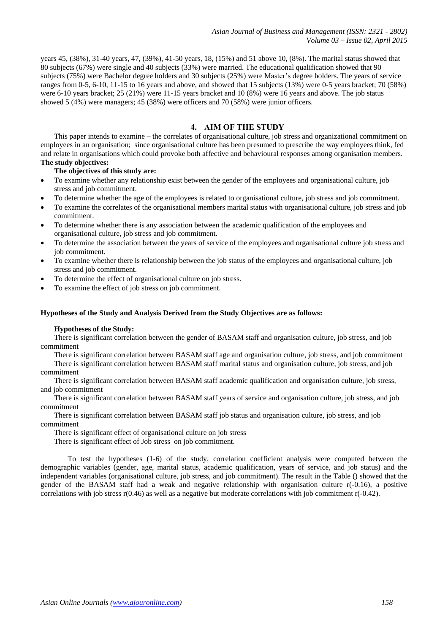years 45, (38%), 31-40 years, 47, (39%), 41-50 years, 18, (15%) and 51 above 10, (8%). The marital status showed that 80 subjects (67%) were single and 40 subjects (33%) were married. The educational qualification showed that 90 subjects (75%) were Bachelor degree holders and 30 subjects (25%) were Master's degree holders. The years of service ranges from 0-5, 6-10, 11-15 to 16 years and above, and showed that 15 subjects (13%) were 0-5 years bracket; 70 (58%) were 6-10 years bracket; 25 (21%) were 11-15 years bracket and 10 (8%) were 16 years and above. The job status showed 5 (4%) were managers; 45 (38%) were officers and 70 (58%) were junior officers.

# **4. AIM OF THE STUDY**

This paper intends to examine – the correlates of organisational culture, job stress and organizational commitment on employees in an organisation; since organisational culture has been presumed to prescribe the way employees think, fed and relate in organisations which could provoke both affective and behavioural responses among organisation members. **The study objectives:**

#### **The objectives of this study are:**

- To examine whether any relationship exist between the gender of the employees and organisational culture, job stress and job commitment.
- To determine whether the age of the employees is related to organisational culture, job stress and job commitment.
- To examine the correlates of the organisational members marital status with organisational culture, job stress and job commitment.
- To determine whether there is any association between the academic qualification of the employees and organisational culture, job stress and job commitment.
- To determine the association between the years of service of the employees and organisational culture job stress and job commitment.
- To examine whether there is relationship between the job status of the employees and organisational culture, job stress and job commitment.
- To determine the effect of organisational culture on job stress.
- To examine the effect of job stress on job commitment.

#### **Hypotheses of the Study and Analysis Derived from the Study Objectives are as follows:**

#### **Hypotheses of the Study:**

There is significant correlation between the gender of BASAM staff and organisation culture, job stress, and job commitment

There is significant correlation between BASAM staff age and organisation culture, job stress, and job commitment There is significant correlation between BASAM staff marital status and organisation culture, job stress, and job

commitment

There is significant correlation between BASAM staff academic qualification and organisation culture, job stress, and job commitment

There is significant correlation between BASAM staff years of service and organisation culture, job stress, and job commitment

There is significant correlation between BASAM staff job status and organisation culture, job stress, and job commitment

There is significant effect of organisational culture on job stress

There is significant effect of Job stress on job commitment.

To test the hypotheses (1-6) of the study, correlation coefficient analysis were computed between the demographic variables (gender, age, marital status, academic qualification, years of service, and job status) and the independent variables (organisational culture, job stress, and job commitment). The result in the Table () showed that the gender of the BASAM staff had a weak and negative relationship with organisation culture  $r(-0.16)$ , a positive correlations with job stress r(0.46) as well as a negative but moderate correlations with job commitment r(-0.42).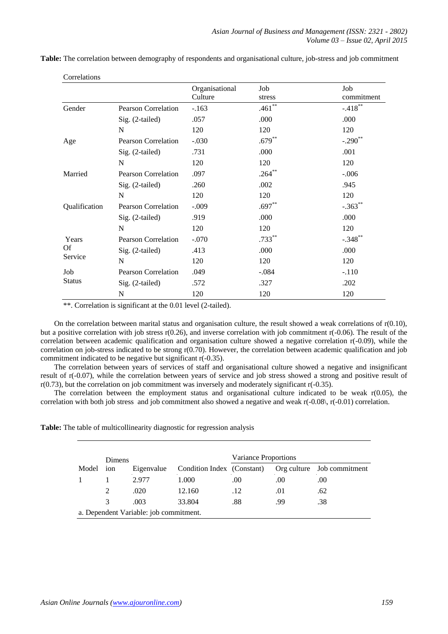**Table:** The correlation between demography of respondents and organisational culture, job-stress and job commitment

|               |                            | Organisational | Job         | Job                   |
|---------------|----------------------------|----------------|-------------|-----------------------|
|               |                            | Culture        | stress      | commitment            |
| Gender        | <b>Pearson Correlation</b> | $-.163$        | $.461***$   | $-.418$ <sup>**</sup> |
|               | Sig. (2-tailed)            | .057           | .000        | .000                  |
|               | N                          | 120            | 120         | 120                   |
| Age           | <b>Pearson Correlation</b> | $-.030$        | $.679^{**}$ | $-.290$ **            |
|               | Sig. (2-tailed)            | .731           | .000        | .001                  |
|               | N                          | 120            | 120         | 120                   |
| Married       | <b>Pearson Correlation</b> | .097           | $.264***$   | $-.006$               |
|               | Sig. (2-tailed)            | .260           | .002        | .945                  |
|               | N                          | 120            | 120         | 120                   |
| Qualification | <b>Pearson Correlation</b> | $-.009$        | $.697**$    | $-.363**$             |
|               | Sig. (2-tailed)            | .919           | .000        | .000                  |
|               | N                          | 120            | 120         | 120                   |
| Years         | <b>Pearson Correlation</b> | $-.070$        | $.733***$   | $-.348**$             |
| <b>Of</b>     | Sig. (2-tailed)            | .413           | .000        | .000                  |
| Service       | N                          | 120            | 120         | 120                   |
| Job           | <b>Pearson Correlation</b> | .049           | $-.084$     | $-.110$               |
| <b>Status</b> | $Sig. (2-tailed)$          | .572           | .327        | .202                  |
|               | N                          | 120            | 120         | 120                   |

Correlations

\*\*. Correlation is significant at the 0.01 level (2-tailed).

On the correlation between marital status and organisation culture, the result showed a weak correlations of r(0.10), but a positive correlation with job stress r(0.26), and inverse correlation with job commitment r(-0.06). The result of the correlation between academic qualification and organisation culture showed a negative correlation r(-0.09), while the correlation on job-stress indicated to be strong r(0.70). However, the correlation between academic qualification and job commitment indicated to be negative but significant r(-0.35).

The correlation between years of services of staff and organisational culture showed a negative and insignificant result of r(-0.07), while the correlation between years of service and job stress showed a strong and positive result of  $r(0.73)$ , but the correlation on job commitment was inversely and moderately significant  $r(-0.35)$ .

The correlation between the employment status and organisational culture indicated to be weak r(0.05), the correlation with both job stress and job commitment also showed a negative and weak  $r(-0.08)$ ,  $r(-0.01)$  correlation.

**Table:** The table of multicollinearity diagnostic for regression analysis

|                                        | Dimens |            |                            | Variance Proportions |     |                            |  |
|----------------------------------------|--------|------------|----------------------------|----------------------|-----|----------------------------|--|
| Model                                  | ion    | Eigenvalue | Condition Index (Constant) |                      |     | Org culture Job commitment |  |
|                                        |        | 2.977      | 1.000                      | .00                  | .00 | .00                        |  |
|                                        |        | .020       | 12.160                     | .12                  | .01 | .62                        |  |
|                                        | 3      | .003       | 33.804                     | .88                  | .99 | .38                        |  |
| a. Dependent Variable: job commitment. |        |            |                            |                      |     |                            |  |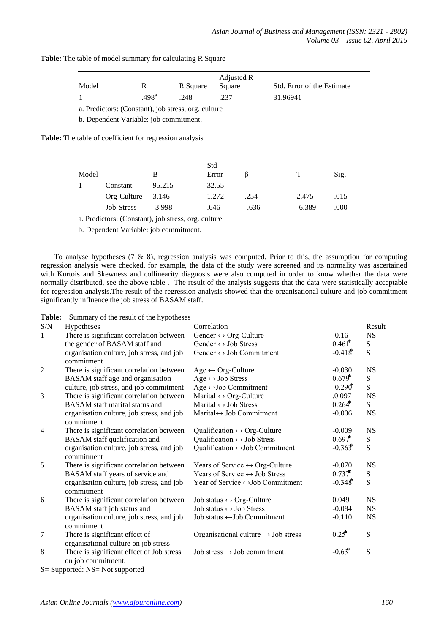**Table:** The table of model summary for calculating R Square

| Model |             |                                                                                                                                                                                                                                                                                                           | R Square |       |      |          |      |
|-------|-------------|-----------------------------------------------------------------------------------------------------------------------------------------------------------------------------------------------------------------------------------------------------------------------------------------------------------|----------|-------|------|----------|------|
|       |             |                                                                                                                                                                                                                                                                                                           | .248     | .237  |      | 31.96941 |      |
|       |             | Adjusted R<br>R<br>Std. Error of the Estimate<br>Square<br>.498 <sup>a</sup><br>a. Predictors: (Constant), job stress, org. culture<br>b. Dependent Variable: job commitment.<br><b>Table:</b> The table of coefficient for regression analysis<br>Std<br>β<br>T<br>B<br>Sig.<br>Error<br>95.215<br>32.55 |          |       |      |          |      |
|       |             |                                                                                                                                                                                                                                                                                                           |          |       |      |          |      |
|       |             |                                                                                                                                                                                                                                                                                                           |          |       |      |          |      |
| Model |             |                                                                                                                                                                                                                                                                                                           |          |       |      |          |      |
|       | Constant    |                                                                                                                                                                                                                                                                                                           |          |       |      |          |      |
|       | Org-Culture | 3.146                                                                                                                                                                                                                                                                                                     |          | 1.272 | .254 | 2.475    | .015 |

Job-Stress -3.998 .646 -.636 -6.389 .000

a. Predictors: (Constant), job stress, org. culture

b. Dependent Variable: job commitment.

To analyse hypotheses  $(7 \& 8)$ , regression analysis was computed. Prior to this, the assumption for computing regression analysis were checked, for example, the data of the study were screened and its normality was ascertained with Kurtois and Skewness and collinearity diagnosis were also computed in order to know whether the data were normally distributed, see the above table . The result of the analysis suggests that the data were statistically acceptable for regression analysis.The result of the regression analysis showed that the organisational culture and job commitment significantly influence the job stress of BASAM staff.

**Table:** Summary of the result of the hypotheses

| 1avr.<br>S/N   | $\beta$ and $\gamma$ of the result of the hypotheses<br>Hypotheses | Correlation                                     |            | Result      |
|----------------|--------------------------------------------------------------------|-------------------------------------------------|------------|-------------|
| $\mathbf{1}$   | There is significant correlation between                           | Gender $\leftrightarrow$ Org-Culture            | $-0.16$    | $_{\rm NS}$ |
|                | the gender of BASAM staff and                                      | Gender $\leftrightarrow$ Job Stress             | $0.461*$   | ${\bf S}$   |
|                | organisation culture, job stress, and job                          | Gender $\leftrightarrow$ Job Commitment         | $-0.418$   | S           |
|                | commitment                                                         |                                                 |            |             |
| $\overline{2}$ | There is significant correlation between                           | Age $\leftrightarrow$ Org-Culture               | $-0.030$   | $_{\rm NS}$ |
|                | BASAM staff age and organisation                                   | Age $\leftrightarrow$ Job Stress                | $0.679*$   | ${\bf S}$   |
|                | culture, job stress, and job commitment                            | Age $\leftrightarrow$ Job Commitment            | $-0.290*$  | S           |
| 3              | There is significant correlation between                           | Marital $\leftrightarrow$ Org-Culture           | .0.097     | <b>NS</b>   |
|                | BASAM staff marital status and                                     | Marital $\leftrightarrow$ Job Stress            | $0.264*$   | S           |
|                | organisation culture, job stress, and job                          | Marital↔ Job Commitment                         | $-0.006$   | $_{\rm NS}$ |
|                | commitment                                                         |                                                 |            |             |
| $\overline{4}$ | There is significant correlation between                           | Qualification $\leftrightarrow$ Org-Culture     | $-0.009$   | <b>NS</b>   |
|                | BASAM staff qualification and                                      | Qualification $\leftrightarrow$ Job Stress      | $0.697$ *  | ${\bf S}$   |
|                | organisation culture, job stress, and job                          | Qualification $\leftrightarrow$ Job Commitment  | $-0.363*$  | S           |
|                | commitment                                                         |                                                 |            |             |
| 5              | There is significant correlation between                           | Years of Service $\leftrightarrow$ Org-Culture  | $-0.070$   | <b>NS</b>   |
|                | BASAM staff years of service and                                   | Years of Service $\leftrightarrow$ Job Stress   | $0.737$ *  | ${\bf S}$   |
|                | organisation culture, job stress, and job                          | Year of Service ↔ Job Commitment                | $-0.348$ * | S           |
|                | commitment                                                         |                                                 |            |             |
| 6              | There is significant correlation between                           | Job status $\leftrightarrow$ Org-Culture        | 0.049      | <b>NS</b>   |
|                | BASAM staff job status and                                         | Job status $\leftrightarrow$ Job Stress         | $-0.084$   | <b>NS</b>   |
|                | organisation culture, job stress, and job                          | Job status ↔ Job Commitment                     | $-0.110$   | <b>NS</b>   |
|                | commitment                                                         |                                                 |            |             |
| 7              | There is significant effect of                                     | Organisational culture $\rightarrow$ Job stress | $0.25^*$   | S           |
|                | organisational culture on job stress                               |                                                 |            |             |
| 8              | There is significant effect of Job stress                          | Job stress $\rightarrow$ Job commitment.        | $-0.63^*$  | S           |
|                | on job commitment.                                                 |                                                 |            |             |

S= Supported: NS= Not supported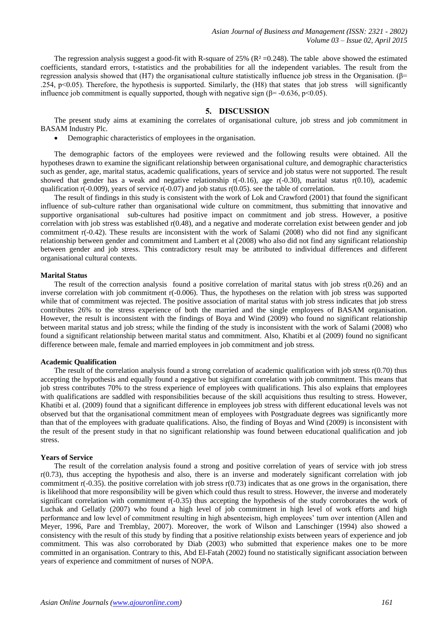The regression analysis suggest a good-fit with R-square of 25% ( $R^2$  =0.248). The table above showed the estimated coefficients, standard errors, t-statistics and the probabilities for all the independent variables. The result from the regression analysis showed that (H7) the organisational culture statistically influence job stress in the Organisation. ( $\beta$ = .254, p˂0.05). Therefore, the hypothesis is supported. Similarly, the (H8) that states that job stress will significantly influence job commitment is equally supported, though with negative sign ( $\beta$ = -0.636, p<0.05).

#### **5. DISCUSSION**

The present study aims at examining the correlates of organisational culture, job stress and job commitment in BASAM Industry Plc.

Demographic characteristics of employees in the organisation.

The demographic factors of the employees were reviewed and the following results were obtained. All the hypotheses drawn to examine the significant relationship between organisational culture, and demographic characteristics such as gender, age, marital status, academic qualifications, years of service and job status were not supported. The result showed that gender has a weak and negative relationship  $r(-0.16)$ , age  $r(-0.30)$ , marital status  $r(0.10)$ , academic qualification r(-0.009), years of service r(-0.07) and job status r(0.05). see the table of correlation.

The result of findings in this study is consistent with the work of Lok and Crawford (2001) that found the significant influence of sub-culture rather than organisational wide culture on commitment, thus submitting that innovative and supportive organisational sub-cultures had positive impact on commitment and job stress. However, a positive correlation with job stress was established r(0.48), and a negative and moderate correlation exist between gender and job commitment r(-0.42). These results are inconsistent with the work of Salami (2008) who did not find any significant relationship between gender and commitment and Lambert et al (2008) who also did not find any significant relationship between gender and job stress. This contradictory result may be attributed to individual differences and different organisational cultural contexts.

#### **Marital Status**

The result of the correction analysis found a positive correlation of marital status with job stress  $r(0.26)$  and an inverse correlation with job commitment r(-0.006). Thus, the hypotheses on the relation with job stress was supported while that of commitment was rejected. The positive association of marital status with job stress indicates that job stress contributes 26% to the stress experience of both the married and the single employees of BASAM organisation. However, the result is inconsistent with the findings of Boya and Wind (2009) who found no significant relationship between marital status and job stress; while the finding of the study is inconsistent with the work of Salami (2008) who found a significant relationship between marital status and commitment. Also, Khatibi et al (2009) found no significant difference between male, female and married employees in job commitment and job stress.

# **Academic Qualification**

The result of the correlation analysis found a strong correlation of academic qualification with job stress  $r(0.70)$  thus accepting the hypothesis and equally found a negative but significant correlation with job commitment. This means that job stress contributes 70% to the stress experience of employees with qualifications. This also explains that employees with qualifications are saddled with responsibilities because of the skill acquisitions thus resulting to stress. However, Khatibi et al. (2009) found that a significant difference in employees job stress with different educational levels was not observed but that the organisational commitment mean of employees with Postgraduate degrees was significantly more than that of the employees with graduate qualifications. Also, the finding of Boyas and Wind (2009) is inconsistent with the result of the present study in that no significant relationship was found between educational qualification and job stress.

#### **Years of Service**

The result of the correlation analysis found a strong and positive correlation of years of service with job stress r(0.73), thus accepting the hypothesis and also, there is an inverse and moderately significant correlation with job commitment  $r(-0.35)$ . the positive correlation with job stress  $r(0.73)$  indicates that as one grows in the organisation, there is likelihood that more responsibility will be given which could thus result to stress. However, the inverse and moderately significant correlation with commitment r(-0.35) thus accepting the hypothesis of the study corroborates the work of Luchak and Gellatly (2007) who found a high level of job commitment in high level of work efforts and high performance and low level of commitment resulting in high absenteeism, high employees' turn over intention (Allen and Meyer, 1996, Pare and Tremblay, 2007). Moreover, the work of Wilson and Lanschinger (1994) also showed a consistency with the result of this study by finding that a positive relationship exists between years of experience and job commitment. This was also corroborated by Diab (2003) who submitted that experience makes one to be more committed in an organisation. Contrary to this, Abd El-Fatah (2002) found no statistically significant association between years of experience and commitment of nurses of NOPA.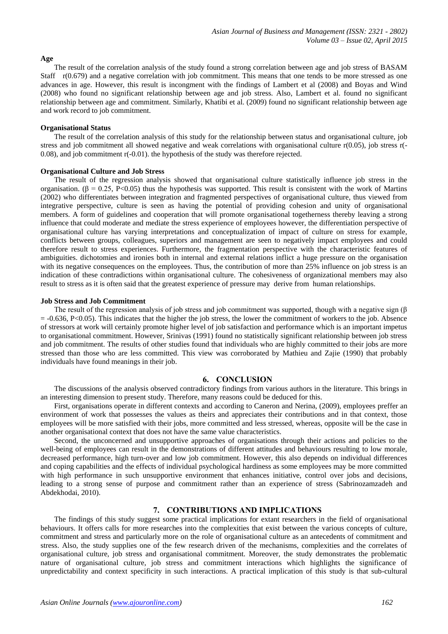#### **Age**

The result of the correlation analysis of the study found a strong correlation between age and job stress of BASAM Staff r(0.679) and a negative correlation with job commitment. This means that one tends to be more stressed as one advances in age. However, this result is incongment with the findings of Lambert et al (2008) and Boyas and Wind (2008) who found no significant relationship between age and job stress. Also, Lambert et al. found no significant relationship between age and commitment. Similarly, Khatibi et al. (2009) found no significant relationship between age and work record to job commitment.

## **Organisational Status**

The result of the correlation analysis of this study for the relationship between status and organisational culture, job stress and job commitment all showed negative and weak correlations with organisational culture  $r(0.05)$ , job stress  $r( 0.08$ ), and job commitment  $r(-0.01)$ . the hypothesis of the study was therefore rejected.

## **Organisational Culture and Job Stress**

The result of the regression analysis showed that organisational culture statistically influence job stress in the organisation. ( $\beta = 0.25$ , P<0.05) thus the hypothesis was supported. This result is consistent with the work of Martins (2002) who differentiates between integration and fragmented perspectives of organisational culture, thus viewed from integrative perspective, culture is seen as having the potential of providing cohesion and unity of organisational members. A form of guidelines and cooperation that will promote organisational togetherness thereby leaving a strong influence that could moderate and mediate the stress experience of employees however, the differentiation perspective of organisational culture has varying interpretations and conceptualization of impact of culture on stress for example, conflicts between groups, colleagues, superiors and management are seen to negatively impact employees and could therefore result to stress experiences. Furthermore, the fragmentation perspective with the characteristic features of ambiguities. dichotomies and ironies both in internal and external relations inflict a huge pressure on the organisation with its negative consequences on the employees. Thus, the contribution of more than 25% influence on job stress is an indication of these contradictions within organisational culture. The cohesiveness of organizational members may also result to stress as it is often said that the greatest experience of pressure may derive from human relationships.

#### **Job Stress and Job Commitment**

The result of the regression analysis of job stress and job commitment was supported, though with a negative sign (β  $=$  -0.636, P<0.05). This indicates that the higher the job stress, the lower the commitment of workers to the job. Absence of stressors at work will certainly promote higher level of job satisfaction and performance which is an important impetus to organisational commitment. However, Srinivas (1991) found no statistically significant relationship between job stress and job commitment. The results of other studies found that individuals who are highly committed to their jobs are more stressed than those who are less committed. This view was corroborated by Mathieu and Zajie (1990) that probably individuals have found meanings in their job.

#### **6. CONCLUSION**

The discussions of the analysis observed contradictory findings from various authors in the literature. This brings in an interesting dimension to present study. Therefore, many reasons could be deduced for this.

First, organisations operate in different contexts and according to Caneron and Nerina, (2009), employees preffer an environment of work that possesses the values as theirs and appreciates their contributions and in that context, those employees will be more satisfied with their jobs, more committed and less stressed, whereas, opposite will be the case in another organisational context that does not have the same value characteristics.

Second, the unconcerned and unsupportive approaches of organisations through their actions and policies to the well-being of employees can result in the demonstrations of different attitudes and behaviours resulting to low morale, decreased performance, high turn-over and low job commitment. However, this also depends on individual differences and coping capabilities and the effects of individual psychological hardiness as some employees may be more committed with high performance in such unsupportive environment that enhances initiative, control over jobs and decisions, leading to a strong sense of purpose and commitment rather than an experience of stress (Sabrinozamzadeh and Abdekhodai, 2010).

# **7. CONTRIBUTIONS AND IMPLICATIONS**

The findings of this study suggest some practical implications for extant researchers in the field of organisational behaviours. It offers calls for more researches into the complexities that exist between the various concepts of culture, commitment and stress and particularly more on the role of organisational culture as an antecedents of commitment and stress. Also, the study supplies one of the few research driven of the mechanisms, complexities and the correlates of organisational culture, job stress and organisational commitment. Moreover, the study demonstrates the problematic nature of organisational culture, job stress and commitment interactions which highlights the significance of unpredictability and context specificity in such interactions. A practical implication of this study is that sub-cultural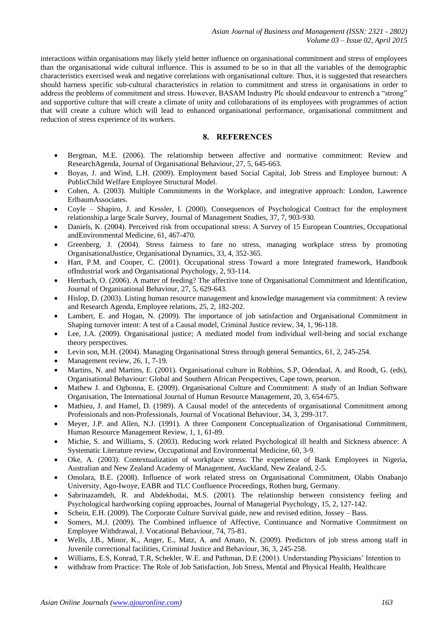interactions within organisations may likely yield better influence on organisational commitment and stress of employees than the organisational wide cultural influence. This is assumed to be so in that all the variables of the demographic characteristics exercised weak and negative correlations with organisational culture. Thus, it is suggested that researchers should harness specific sub-cultural characteristics in relation to commitment and stress in organisations in order to address the problems of commitment and stress. However, BASAM Industry Plc should endeavour to entrench a "strong" and supportive culture that will create a climate of unity and collobarations of its employees with programmes of action that will create a culture which will lead to enhanced organisational performance, organisational commitment and reduction of stress experience of its workers.

# **8. REFERENCES**

- Bergman, M.E. (2006). The relationship between affective and normative commitment: Review and ResearchAgenda, Journal of Organisational Behaviour, 27, 5, 645-663.
- Boyas, J. and Wind, L.H. (2009). Employment based Social Capital, Job Stress and Employee burnout: A PublicChild Welfare Employee Structural Model.
- Cohen, A. (2003). Multiple Commitments in the Workplace, and integrative approach: London, Lawrence ErlbaumAssociates.
- Coyle Shapiro, J. and Kessler, I. (2000). Consequences of Psychological Contract for the employment relationship,a large Scale Survey, Journal of Management Studies, 37, 7, 903-930.
- Daniels, K. (2004). Perceived risk from occupational stress: A Survey of 15 European Countries, Occupational andEnvironmental Medicine, 61, 467-470.
- Greenberg, J. (2004). Stress fairness to fare no stress, managing workplace stress by promoting OrganisationalJustice, Organisational Dynamics, 33, 4, 352-365.
- Hart, P.M. and Cooper, C. (2001). Occupational stress Toward a more Integrated framework, Handbook ofIndustrial work and Organisational Psychology, 2, 93-114.
- Herrbach, O. (2006). A matter of feeding? The affective tone of Organisational Commitment and Identification, Journal of Organisational Behaviour, 27, 5, 629-643.
- Hislop, D. (2003). Listing human resource management and knowledge management via commitment: A review and Research Agenda, Employee relations, 25, 2, 182-202.
- Lambert, E. and Hogan, N. (2009). The importance of job satisfaction and Organisational Commitment in Shaping turnover intent: A test of a Causal model, Criminal Justice review, 34, 1, 96-118.
- Lee, J.A. (2009). Organisational justice; A mediated model from individual well-being and social exchange theory perspectives.
- Levin son, M.H. (2004). Managing Organisational Stress through general Semantics, 61, 2, 245-254.
- Management review, 26, 1, 7-19.
- Martins, N. and Martins, E. (2001). Organisational culture in Robbins, S.P, Odendaal, A. and Roodt, G. (eds), Organisational Behaviour: Global and Southern African Perspectives, Cape town, pearson.
- Mathew J. and Ogbonna, E. (2009). Organisational Culture and Commitment: A study of an Indian Software Organisation, The International Journal of Human Resource Management, 20, 3, 654-675.
- Mathieu, J. and Hamel, D. (1989). A Causal model of the antecedents of organisational Commitment among Professionals and non-Professionals, Journal of Vocational Behaviour, 34, 3, 299-317.
- Meyer, J.P. and Allen, N.J. (1991). A three Component Conceptualization of Organisational Commitment, Human Resource Management Review, 1, 1, 61-89.
- Michie, S. and Williams, S. (2003). Reducing work related Psychological ill health and Sickness absence: A Systematic Literature review, Occupational and Environmental Medicine, 60, 3-9.
- Oke, A. (2003). Contextualization of workplace stress: The experience of Bank Employees in Nigeria, Australian and New Zealand Academy of Management, Auckland, New Zealand, 2-5.
- Omolara, B.E. (2008). Influence of work related stress on Organisational Commitment, Olabis Onabanjo University, Ago-Iwoye, EABR and TLC Confluence Proceedings, Rothen burg, Germany.
- Sabrinazamdeh, R. and Abdekhodai, M.S. (2001). The relationship between consistency feeling and Psychological hardworking copiing approaches, Journal of Managerial Psychology, 15, 2, 127-142.
- Schein, E.H. (2009). The Corporate Culture Survival guide, new and revised edition, Jossey Bass.
- Somers, M.J. (2009). The Combined influence of Affective, Continuance and Normative Commitment on Employee Withdrawal, J. Vocational Behaviour, 74, 75-81.
- Wells, J.B., Minor, K., Anger, E., Matz, A. and Amato, N. (2009). Predictors of job stress among staff in Juvenile correctional facilities, Criminal Justice and Behaviour, 36, 3, 245-258.
- Williams, E.S, Konrad, T.R, Schekler, W.E. and Pathman, D.E (2001). Understanding Physicians' Intention to
- withdraw from Practice: The Role of Job Satisfaction, Job Stress, Mental and Physical Health, Healthcare